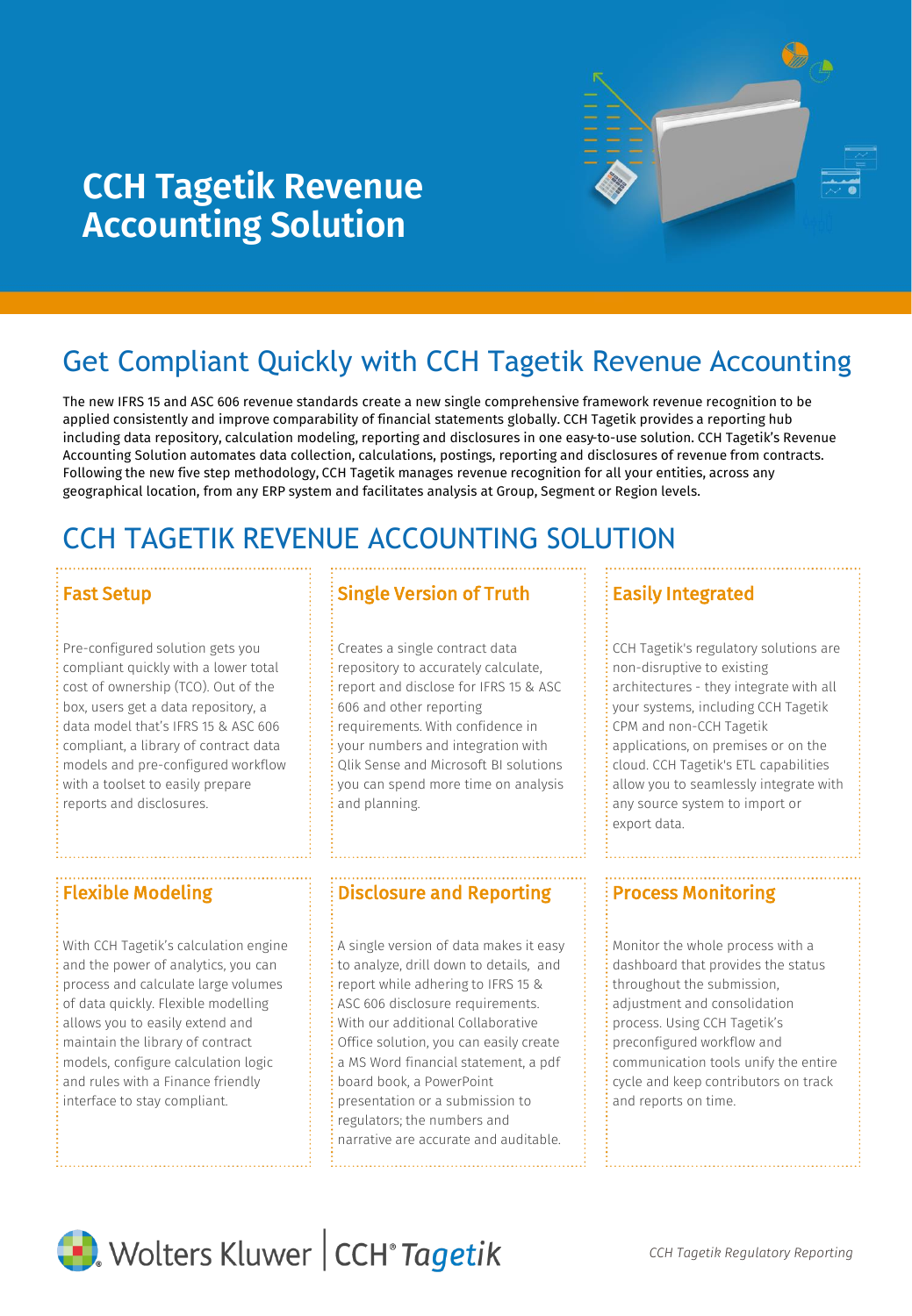

# **CCH Tagetik Revenue Accounting Solution**

# Get Compliant Quickly with CCH Tagetik Revenue Accounting

The new IFRS 15 and ASC 606 revenue standards create a new single comprehensive framework revenue recognition to be applied consistently and improve comparability of financial statements globally. CCH Tagetik provides a reporting hub including data repository, calculation modeling, reporting and disclosures in one easy-to-use solution. CCH Tagetik's Revenue Accounting Solution automates data collection, calculations, postings, reporting and disclosures of revenue from contracts. Following the new five step methodology, CCH Tagetik manages revenue recognition for all your entities, across any geographical location, from any ERP system and facilitates analysis at Group, Segment or Region levels.

# CCH TAGETIK REVENUE ACCOUNTING SOLUTION

Pre-configured solution gets you compliant quickly with a lower total cost of ownership (TCO). Out of the box, users get a data repository, a data model that's IFRS 15 & ASC 606 compliant, a library of contract data models and pre-configured workflow with a toolset to easily prepare reports and disclosures.

With CCH Tagetik's calculation engine and the power of analytics, you can process and calculate large volumes of data quickly. Flexible modelling allows you to easily extend and maintain the library of contract models, configure calculation logic and rules with a Finance friendly interface to stay compliant.

# **Fast Setup Single Version of Truth**

Creates a single contract data repository to accurately calculate, report and disclose for IFRS 15 & ASC 606 and other reporting requirements. With confidence in your numbers and integration with Qlik Sense and Microsoft BI solutions you can spend more time on analysis and planning.

## Flexible Modeling **Process Monitoring Process Monitoring** Process Monitoring

A single version of data makes it easy to analyze, drill down to details, and report while adhering to IFRS 15 & ASC 606 disclosure requirements. With our additional Collaborative Office solution, you can easily create a MS Word financial statement, a pdf board book, a PowerPoint presentation or a submission to regulators; the numbers and narrative are accurate and auditable.

## Easily Integrated

CCH Tagetik's regulatory solutions are non-disruptive to existing architectures - they integrate with all your systems, including CCH Tagetik CPM and non-CCH Tagetik applications, on premises or on the cloud. CCH Tagetik's ETL capabilities allow you to seamlessly integrate with any source system to import or export data.

Monitor the whole process with a dashboard that provides the status throughout the submission, adjustment and consolidation process. Using CCH Tagetik's preconfigured workflow and communication tools unify the entire cycle and keep contributors on track and reports on time.